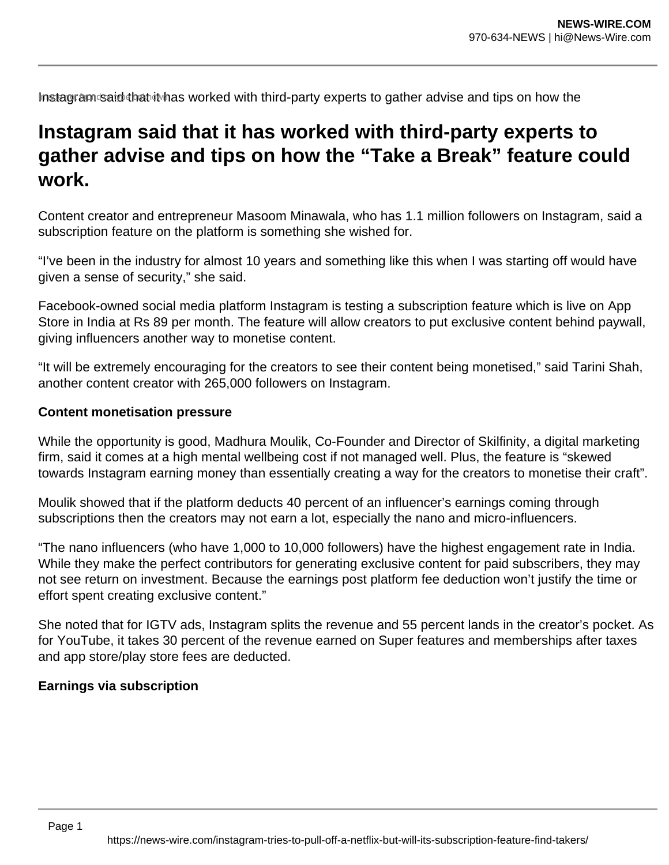Instagram said that it has worked with third-party experts to gather advise and tips on how the

# **Instagram said that it has worked with third-party experts to gather advise and tips on how the "Take a Break" feature could work.**

Content creator and entrepreneur Masoom Minawala, who has 1.1 million followers on Instagram, said a subscription feature on the platform is something she wished for.

"I've been in the industry for almost 10 years and something like this when I was starting off would have given a sense of security," she said.

Facebook-owned social media platform Instagram is testing a subscription feature which is live on App Store in India at Rs 89 per month. The feature will allow creators to put exclusive content behind paywall, giving influencers another way to monetise content.

"It will be extremely encouraging for the creators to see their content being monetised," said Tarini Shah, another content creator with 265,000 followers on Instagram.

### **Content monetisation pressure**

While the opportunity is good, Madhura Moulik, Co-Founder and Director of Skilfinity, a digital marketing firm, said it comes at a high mental wellbeing cost if not managed well. Plus, the feature is "skewed towards Instagram earning money than essentially creating a way for the creators to monetise their craft".

Moulik showed that if the platform deducts 40 percent of an influencer's earnings coming through subscriptions then the creators may not earn a lot, especially the nano and micro-influencers.

"The nano influencers (who have 1,000 to 10,000 followers) have the highest engagement rate in India. While they make the perfect contributors for generating exclusive content for paid subscribers, they may not see return on investment. Because the earnings post platform fee deduction won't justify the time or effort spent creating exclusive content."

She noted that for IGTV ads, Instagram splits the revenue and 55 percent lands in the creator's pocket. As for YouTube, it takes 30 percent of the revenue earned on Super features and memberships after taxes and app store/play store fees are deducted.

### **Earnings via subscription**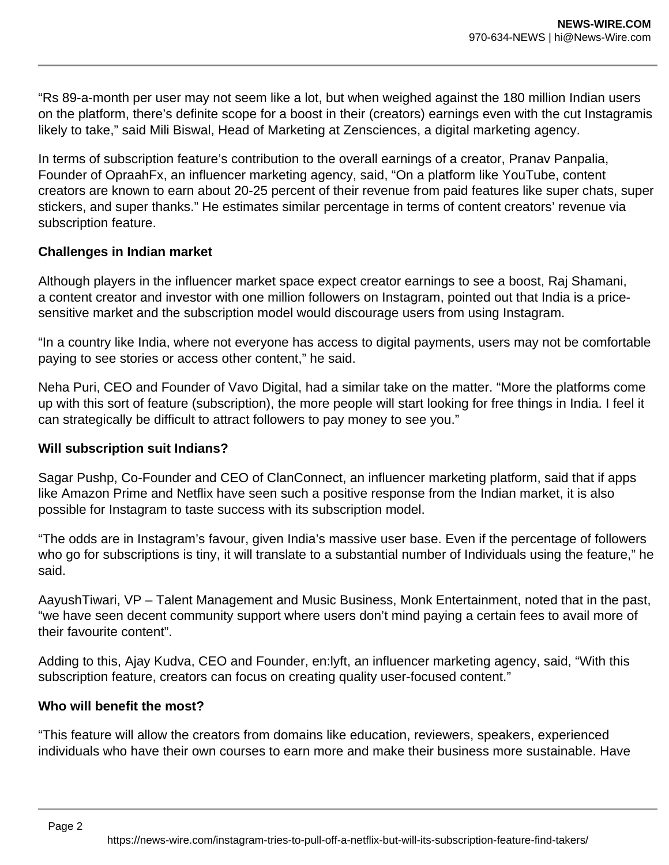"Rs 89-a-month per user may not seem like a lot, but when weighed against the 180 million Indian users on the platform, there's definite scope for a boost in their (creators) earnings even with the cut Instagramis likely to take," said Mili Biswal, Head of Marketing at Zensciences, a digital marketing agency.

In terms of subscription feature's contribution to the overall earnings of a creator, Pranav Panpalia, Founder of OpraahFx, an influencer marketing agency, said, "On a platform like YouTube, content creators are known to earn about 20-25 percent of their revenue from paid features like super chats, super stickers, and super thanks." He estimates similar percentage in terms of content creators' revenue via subscription feature.

# **Challenges in Indian market**

Although players in the influencer market space expect creator earnings to see a boost, Raj Shamani, a content creator and investor with one million followers on Instagram, pointed out that India is a pricesensitive market and the subscription model would discourage users from using Instagram.

"In a country like India, where not everyone has access to digital payments, users may not be comfortable paying to see stories or access other content," he said.

Neha Puri, CEO and Founder of Vavo Digital, had a similar take on the matter. "More the platforms come up with this sort of feature (subscription), the more people will start looking for free things in India. I feel it can strategically be difficult to attract followers to pay money to see you."

# **Will subscription suit Indians?**

Sagar Pushp, Co-Founder and CEO of ClanConnect, an influencer marketing platform, said that if apps like Amazon Prime and Netflix have seen such a positive response from the Indian market, it is also possible for Instagram to taste success with its subscription model.

"The odds are in Instagram's favour, given India's massive user base. Even if the percentage of followers who go for subscriptions is tiny, it will translate to a substantial number of Individuals using the feature," he said.

AayushTiwari, VP – Talent Management and Music Business, Monk Entertainment, noted that in the past, "we have seen decent community support where users don't mind paying a certain fees to avail more of their favourite content".

Adding to this, Ajay Kudva, CEO and Founder, en:lyft, an influencer marketing agency, said, "With this subscription feature, creators can focus on creating quality user-focused content."

# **Who will benefit the most?**

"This feature will allow the creators from domains like education, reviewers, speakers, experienced individuals who have their own courses to earn more and make their business more sustainable. Have